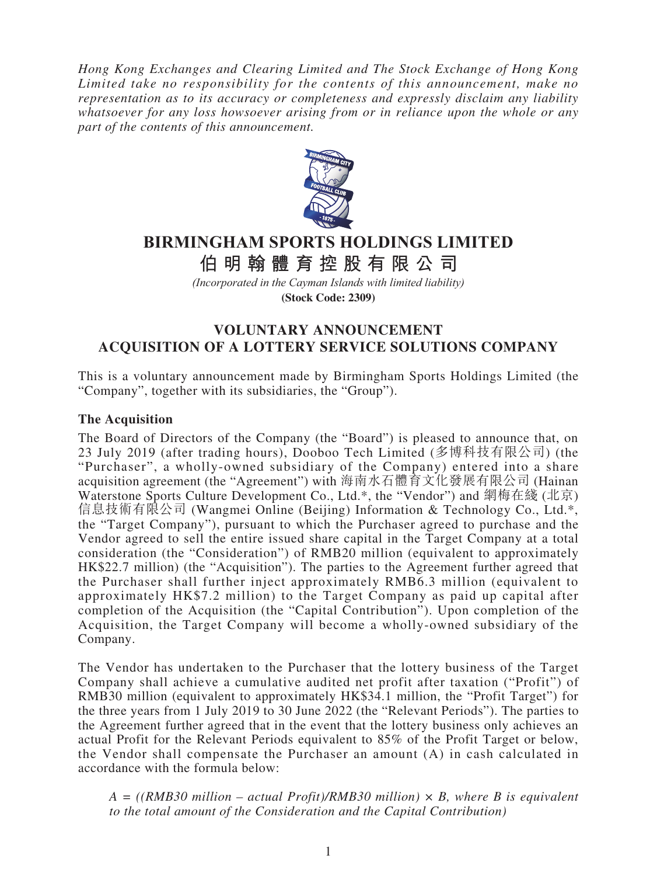*Hong Kong Exchanges and Clearing Limited and The Stock Exchange of Hong Kong Limited take no responsibility for the contents of this announcement, make no representation as to its accuracy or completeness and expressly disclaim any liability whatsoever for any loss howsoever arising from or in reliance upon the whole or any part of the contents of this announcement.*



# **BIRMINGHAM SPORTS HOLDINGS LIMITED**

**伯明翰體育控股有限公 司**

*(Incorporated in the Cayman Islands with limited liability)*

**(Stock Code: 2309)**

## **VOLUNTARY ANNOUNCEMENT ACQUISITION OF A LOTTERY SERVICE SOLUTIONS COMPANY**

This is a voluntary announcement made by Birmingham Sports Holdings Limited (the "Company", together with its subsidiaries, the "Group").

### **The Acquisition**

The Board of Directors of the Company (the "Board") is pleased to announce that, on 23 July 2019 (after trading hours), Dooboo Tech Limited (多博科技有限公司) (the "Purchaser", a wholly-owned subsidiary of the Company) entered into a share acquisition agreement (the "Agreement") with 海南水石體育文化發展有限公司 (Hainan Waterstone Sports Culture Development Co., Ltd.\*, the "Vendor") and 網梅在綫 (北京) 信息技術有限公司 (Wangmei Online (Beijing) Information & Technology Co., Ltd.\*, the "Target Company"), pursuant to which the Purchaser agreed to purchase and the Vendor agreed to sell the entire issued share capital in the Target Company at a total consideration (the "Consideration") of RMB20 million (equivalent to approximately HK\$22.7 million) (the "Acquisition"). The parties to the Agreement further agreed that the Purchaser shall further inject approximately RMB6.3 million (equivalent to approximately HK\$7.2 million) to the Target Company as paid up capital after completion of the Acquisition (the "Capital Contribution"). Upon completion of the Acquisition, the Target Company will become a wholly-owned subsidiary of the Company.

The Vendor has undertaken to the Purchaser that the lottery business of the Target Company shall achieve a cumulative audited net profit after taxation ("Profit") of RMB30 million (equivalent to approximately HK\$34.1 million, the "Profit Target") for the three years from 1 July 2019 to 30 June 2022 (the "Relevant Periods"). The parties to the Agreement further agreed that in the event that the lottery business only achieves an actual Profit for the Relevant Periods equivalent to 85% of the Profit Target or below, the Vendor shall compensate the Purchaser an amount (A) in cash calculated in accordance with the formula below:

*A = ((RMB30 million – actual Profit)/RMB30 million) × B, where B is equivalent to the total amount of the Consideration and the Capital Contribution)*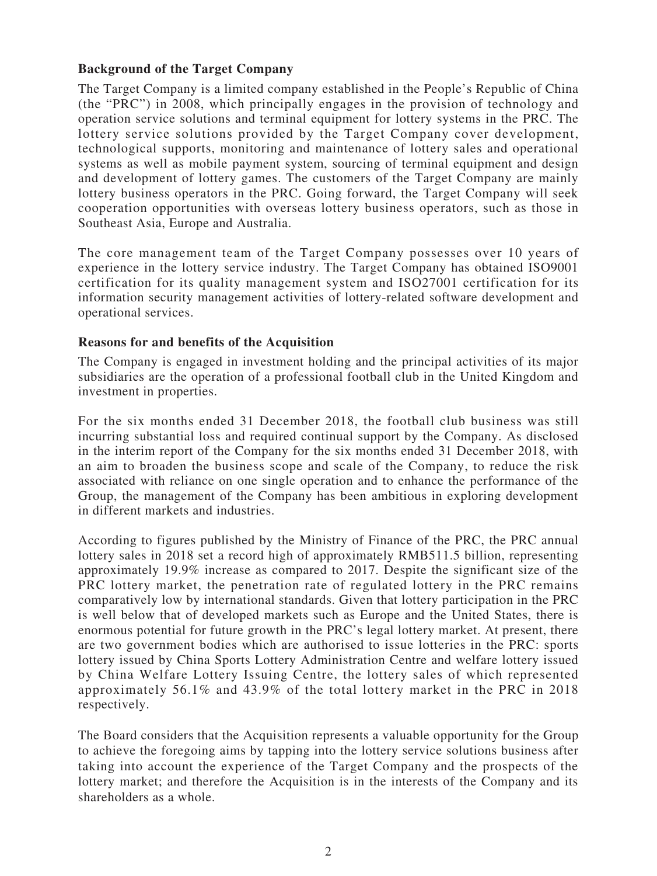### **Background of the Target Company**

The Target Company is a limited company established in the People's Republic of China (the "PRC") in 2008, which principally engages in the provision of technology and operation service solutions and terminal equipment for lottery systems in the PRC. The lottery service solutions provided by the Target Company cover development, technological supports, monitoring and maintenance of lottery sales and operational systems as well as mobile payment system, sourcing of terminal equipment and design and development of lottery games. The customers of the Target Company are mainly lottery business operators in the PRC. Going forward, the Target Company will seek cooperation opportunities with overseas lottery business operators, such as those in Southeast Asia, Europe and Australia.

The core management team of the Target Company possesses over 10 years of experience in the lottery service industry. The Target Company has obtained ISO9001 certification for its quality management system and ISO27001 certification for its information security management activities of lottery-related software development and operational services.

#### **Reasons for and benefits of the Acquisition**

The Company is engaged in investment holding and the principal activities of its major subsidiaries are the operation of a professional football club in the United Kingdom and investment in properties.

For the six months ended 31 December 2018, the football club business was still incurring substantial loss and required continual support by the Company. As disclosed in the interim report of the Company for the six months ended 31 December 2018, with an aim to broaden the business scope and scale of the Company, to reduce the risk associated with reliance on one single operation and to enhance the performance of the Group, the management of the Company has been ambitious in exploring development in different markets and industries.

According to figures published by the Ministry of Finance of the PRC, the PRC annual lottery sales in 2018 set a record high of approximately RMB511.5 billion, representing approximately 19.9% increase as compared to 2017. Despite the significant size of the PRC lottery market, the penetration rate of regulated lottery in the PRC remains comparatively low by international standards. Given that lottery participation in the PRC is well below that of developed markets such as Europe and the United States, there is enormous potential for future growth in the PRC's legal lottery market. At present, there are two government bodies which are authorised to issue lotteries in the PRC: sports lottery issued by China Sports Lottery Administration Centre and welfare lottery issued by China Welfare Lottery Issuing Centre, the lottery sales of which represented approximately 56.1% and 43.9% of the total lottery market in the PRC in 2018 respectively.

The Board considers that the Acquisition represents a valuable opportunity for the Group to achieve the foregoing aims by tapping into the lottery service solutions business after taking into account the experience of the Target Company and the prospects of the lottery market; and therefore the Acquisition is in the interests of the Company and its shareholders as a whole.